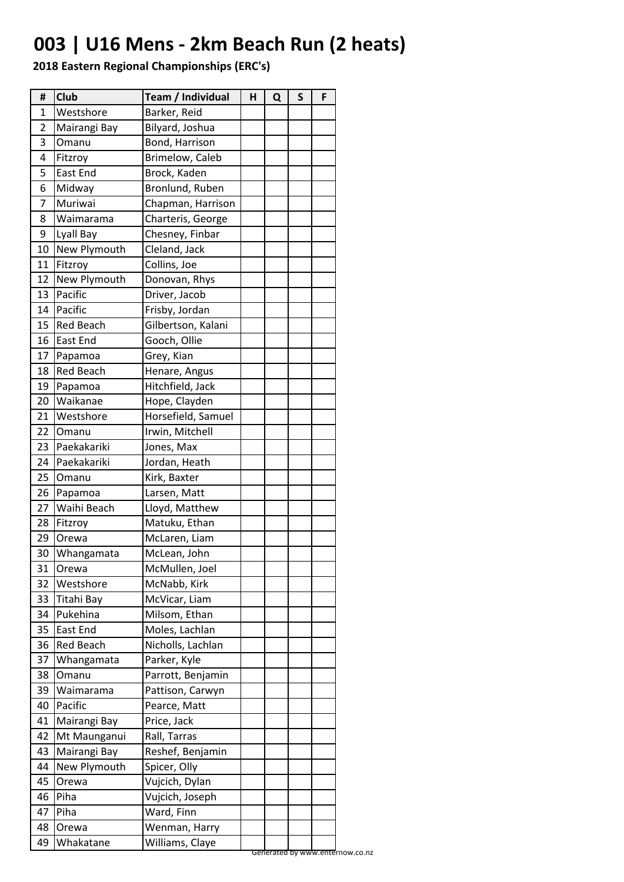## **003 | U16 Mens - 2km Beach Run (2 heats)**

| Westshore<br>Barker, Reid<br>1<br>Bilyard, Joshua<br>2<br>Mairangi Bay<br>Bond, Harrison<br>3<br>Omanu<br>Brimelow, Caleb<br>Fitzroy<br>4<br>5<br>East End<br>Brock, Kaden<br>Midway<br>Bronlund, Ruben<br>6<br>Muriwai<br>7<br>Chapman, Harrison<br>Charteris, George<br>8<br>Waimarama<br>Lyall Bay<br>Chesney, Finbar<br>9<br>New Plymouth<br>Cleland, Jack<br>10<br>Collins, Joe<br>Fitzroy<br>11<br>New Plymouth<br>12<br>Donovan, Rhys<br>Pacific<br>13<br>Driver, Jacob<br>Pacific<br>Frisby, Jordan<br>14<br>Gilbertson, Kalani<br><b>Red Beach</b><br>15<br>East End<br>Gooch, Ollie<br>16<br>Grey, Kian<br>17<br>Papamoa<br><b>Red Beach</b><br>18<br>Henare, Angus<br>Hitchfield, Jack<br>19<br>Papamoa<br>Hope, Clayden<br>Waikanae<br>20<br>Horsefield, Samuel<br>21<br>Westshore<br>Irwin, Mitchell<br>22<br>Omanu<br>Paekakariki<br>Jones, Max<br>23<br>Paekakariki<br>24<br>Jordan, Heath<br>Kirk, Baxter<br>25<br>Omanu<br>26<br>Larsen, Matt<br>Papamoa<br>Waihi Beach<br>27<br>Lloyd, Matthew<br>Matuku, Ethan<br>28<br>Fitzroy<br>McLaren, Liam<br>29<br>Orewa<br>30<br>McLean, John<br>Whangamata<br>McMullen, Joel<br>31<br>Orewa<br>32<br>McNabb, Kirk<br>Westshore<br>Titahi Bay<br>McVicar, Liam<br>33<br>Pukehina<br>Milsom, Ethan<br>34<br><b>East End</b><br>Moles, Lachlan<br>35<br><b>Red Beach</b><br>Nicholls, Lachlan<br>36<br>Whangamata<br>Parker, Kyle<br>37<br>38<br>Parrott, Benjamin<br>Omanu<br>39<br>Waimarama<br>Pattison, Carwyn<br>Pacific<br>40<br>Pearce, Matt<br>Mairangi Bay<br>Price, Jack<br>41<br>42<br>Mt Maunganui<br>Rall, Tarras<br>Mairangi Bay<br>Reshef, Benjamin<br>43<br>Spicer, Olly<br>New Plymouth<br>44<br>Vujcich, Dylan<br>45<br>Orewa<br>Vujcich, Joseph<br>46<br>Piha<br>Ward, Finn<br>Piha<br>47<br>Wenman, Harry<br>48<br>Orewa | #  | <b>Club</b> | Team / Individual | н | Q | $\mathsf{s}$ | F |
|-------------------------------------------------------------------------------------------------------------------------------------------------------------------------------------------------------------------------------------------------------------------------------------------------------------------------------------------------------------------------------------------------------------------------------------------------------------------------------------------------------------------------------------------------------------------------------------------------------------------------------------------------------------------------------------------------------------------------------------------------------------------------------------------------------------------------------------------------------------------------------------------------------------------------------------------------------------------------------------------------------------------------------------------------------------------------------------------------------------------------------------------------------------------------------------------------------------------------------------------------------------------------------------------------------------------------------------------------------------------------------------------------------------------------------------------------------------------------------------------------------------------------------------------------------------------------------------------------------------------------------------------------------------------------------------------------------------------------------------------------------------------------------------------------------|----|-------------|-------------------|---|---|--------------|---|
|                                                                                                                                                                                                                                                                                                                                                                                                                                                                                                                                                                                                                                                                                                                                                                                                                                                                                                                                                                                                                                                                                                                                                                                                                                                                                                                                                                                                                                                                                                                                                                                                                                                                                                                                                                                                       |    |             |                   |   |   |              |   |
|                                                                                                                                                                                                                                                                                                                                                                                                                                                                                                                                                                                                                                                                                                                                                                                                                                                                                                                                                                                                                                                                                                                                                                                                                                                                                                                                                                                                                                                                                                                                                                                                                                                                                                                                                                                                       |    |             |                   |   |   |              |   |
|                                                                                                                                                                                                                                                                                                                                                                                                                                                                                                                                                                                                                                                                                                                                                                                                                                                                                                                                                                                                                                                                                                                                                                                                                                                                                                                                                                                                                                                                                                                                                                                                                                                                                                                                                                                                       |    |             |                   |   |   |              |   |
|                                                                                                                                                                                                                                                                                                                                                                                                                                                                                                                                                                                                                                                                                                                                                                                                                                                                                                                                                                                                                                                                                                                                                                                                                                                                                                                                                                                                                                                                                                                                                                                                                                                                                                                                                                                                       |    |             |                   |   |   |              |   |
|                                                                                                                                                                                                                                                                                                                                                                                                                                                                                                                                                                                                                                                                                                                                                                                                                                                                                                                                                                                                                                                                                                                                                                                                                                                                                                                                                                                                                                                                                                                                                                                                                                                                                                                                                                                                       |    |             |                   |   |   |              |   |
|                                                                                                                                                                                                                                                                                                                                                                                                                                                                                                                                                                                                                                                                                                                                                                                                                                                                                                                                                                                                                                                                                                                                                                                                                                                                                                                                                                                                                                                                                                                                                                                                                                                                                                                                                                                                       |    |             |                   |   |   |              |   |
|                                                                                                                                                                                                                                                                                                                                                                                                                                                                                                                                                                                                                                                                                                                                                                                                                                                                                                                                                                                                                                                                                                                                                                                                                                                                                                                                                                                                                                                                                                                                                                                                                                                                                                                                                                                                       |    |             |                   |   |   |              |   |
|                                                                                                                                                                                                                                                                                                                                                                                                                                                                                                                                                                                                                                                                                                                                                                                                                                                                                                                                                                                                                                                                                                                                                                                                                                                                                                                                                                                                                                                                                                                                                                                                                                                                                                                                                                                                       |    |             |                   |   |   |              |   |
|                                                                                                                                                                                                                                                                                                                                                                                                                                                                                                                                                                                                                                                                                                                                                                                                                                                                                                                                                                                                                                                                                                                                                                                                                                                                                                                                                                                                                                                                                                                                                                                                                                                                                                                                                                                                       |    |             |                   |   |   |              |   |
|                                                                                                                                                                                                                                                                                                                                                                                                                                                                                                                                                                                                                                                                                                                                                                                                                                                                                                                                                                                                                                                                                                                                                                                                                                                                                                                                                                                                                                                                                                                                                                                                                                                                                                                                                                                                       |    |             |                   |   |   |              |   |
|                                                                                                                                                                                                                                                                                                                                                                                                                                                                                                                                                                                                                                                                                                                                                                                                                                                                                                                                                                                                                                                                                                                                                                                                                                                                                                                                                                                                                                                                                                                                                                                                                                                                                                                                                                                                       |    |             |                   |   |   |              |   |
|                                                                                                                                                                                                                                                                                                                                                                                                                                                                                                                                                                                                                                                                                                                                                                                                                                                                                                                                                                                                                                                                                                                                                                                                                                                                                                                                                                                                                                                                                                                                                                                                                                                                                                                                                                                                       |    |             |                   |   |   |              |   |
|                                                                                                                                                                                                                                                                                                                                                                                                                                                                                                                                                                                                                                                                                                                                                                                                                                                                                                                                                                                                                                                                                                                                                                                                                                                                                                                                                                                                                                                                                                                                                                                                                                                                                                                                                                                                       |    |             |                   |   |   |              |   |
|                                                                                                                                                                                                                                                                                                                                                                                                                                                                                                                                                                                                                                                                                                                                                                                                                                                                                                                                                                                                                                                                                                                                                                                                                                                                                                                                                                                                                                                                                                                                                                                                                                                                                                                                                                                                       |    |             |                   |   |   |              |   |
|                                                                                                                                                                                                                                                                                                                                                                                                                                                                                                                                                                                                                                                                                                                                                                                                                                                                                                                                                                                                                                                                                                                                                                                                                                                                                                                                                                                                                                                                                                                                                                                                                                                                                                                                                                                                       |    |             |                   |   |   |              |   |
|                                                                                                                                                                                                                                                                                                                                                                                                                                                                                                                                                                                                                                                                                                                                                                                                                                                                                                                                                                                                                                                                                                                                                                                                                                                                                                                                                                                                                                                                                                                                                                                                                                                                                                                                                                                                       |    |             |                   |   |   |              |   |
|                                                                                                                                                                                                                                                                                                                                                                                                                                                                                                                                                                                                                                                                                                                                                                                                                                                                                                                                                                                                                                                                                                                                                                                                                                                                                                                                                                                                                                                                                                                                                                                                                                                                                                                                                                                                       |    |             |                   |   |   |              |   |
|                                                                                                                                                                                                                                                                                                                                                                                                                                                                                                                                                                                                                                                                                                                                                                                                                                                                                                                                                                                                                                                                                                                                                                                                                                                                                                                                                                                                                                                                                                                                                                                                                                                                                                                                                                                                       |    |             |                   |   |   |              |   |
|                                                                                                                                                                                                                                                                                                                                                                                                                                                                                                                                                                                                                                                                                                                                                                                                                                                                                                                                                                                                                                                                                                                                                                                                                                                                                                                                                                                                                                                                                                                                                                                                                                                                                                                                                                                                       |    |             |                   |   |   |              |   |
|                                                                                                                                                                                                                                                                                                                                                                                                                                                                                                                                                                                                                                                                                                                                                                                                                                                                                                                                                                                                                                                                                                                                                                                                                                                                                                                                                                                                                                                                                                                                                                                                                                                                                                                                                                                                       |    |             |                   |   |   |              |   |
|                                                                                                                                                                                                                                                                                                                                                                                                                                                                                                                                                                                                                                                                                                                                                                                                                                                                                                                                                                                                                                                                                                                                                                                                                                                                                                                                                                                                                                                                                                                                                                                                                                                                                                                                                                                                       |    |             |                   |   |   |              |   |
|                                                                                                                                                                                                                                                                                                                                                                                                                                                                                                                                                                                                                                                                                                                                                                                                                                                                                                                                                                                                                                                                                                                                                                                                                                                                                                                                                                                                                                                                                                                                                                                                                                                                                                                                                                                                       |    |             |                   |   |   |              |   |
|                                                                                                                                                                                                                                                                                                                                                                                                                                                                                                                                                                                                                                                                                                                                                                                                                                                                                                                                                                                                                                                                                                                                                                                                                                                                                                                                                                                                                                                                                                                                                                                                                                                                                                                                                                                                       |    |             |                   |   |   |              |   |
|                                                                                                                                                                                                                                                                                                                                                                                                                                                                                                                                                                                                                                                                                                                                                                                                                                                                                                                                                                                                                                                                                                                                                                                                                                                                                                                                                                                                                                                                                                                                                                                                                                                                                                                                                                                                       |    |             |                   |   |   |              |   |
|                                                                                                                                                                                                                                                                                                                                                                                                                                                                                                                                                                                                                                                                                                                                                                                                                                                                                                                                                                                                                                                                                                                                                                                                                                                                                                                                                                                                                                                                                                                                                                                                                                                                                                                                                                                                       |    |             |                   |   |   |              |   |
|                                                                                                                                                                                                                                                                                                                                                                                                                                                                                                                                                                                                                                                                                                                                                                                                                                                                                                                                                                                                                                                                                                                                                                                                                                                                                                                                                                                                                                                                                                                                                                                                                                                                                                                                                                                                       |    |             |                   |   |   |              |   |
|                                                                                                                                                                                                                                                                                                                                                                                                                                                                                                                                                                                                                                                                                                                                                                                                                                                                                                                                                                                                                                                                                                                                                                                                                                                                                                                                                                                                                                                                                                                                                                                                                                                                                                                                                                                                       |    |             |                   |   |   |              |   |
|                                                                                                                                                                                                                                                                                                                                                                                                                                                                                                                                                                                                                                                                                                                                                                                                                                                                                                                                                                                                                                                                                                                                                                                                                                                                                                                                                                                                                                                                                                                                                                                                                                                                                                                                                                                                       |    |             |                   |   |   |              |   |
|                                                                                                                                                                                                                                                                                                                                                                                                                                                                                                                                                                                                                                                                                                                                                                                                                                                                                                                                                                                                                                                                                                                                                                                                                                                                                                                                                                                                                                                                                                                                                                                                                                                                                                                                                                                                       |    |             |                   |   |   |              |   |
|                                                                                                                                                                                                                                                                                                                                                                                                                                                                                                                                                                                                                                                                                                                                                                                                                                                                                                                                                                                                                                                                                                                                                                                                                                                                                                                                                                                                                                                                                                                                                                                                                                                                                                                                                                                                       |    |             |                   |   |   |              |   |
|                                                                                                                                                                                                                                                                                                                                                                                                                                                                                                                                                                                                                                                                                                                                                                                                                                                                                                                                                                                                                                                                                                                                                                                                                                                                                                                                                                                                                                                                                                                                                                                                                                                                                                                                                                                                       |    |             |                   |   |   |              |   |
|                                                                                                                                                                                                                                                                                                                                                                                                                                                                                                                                                                                                                                                                                                                                                                                                                                                                                                                                                                                                                                                                                                                                                                                                                                                                                                                                                                                                                                                                                                                                                                                                                                                                                                                                                                                                       |    |             |                   |   |   |              |   |
|                                                                                                                                                                                                                                                                                                                                                                                                                                                                                                                                                                                                                                                                                                                                                                                                                                                                                                                                                                                                                                                                                                                                                                                                                                                                                                                                                                                                                                                                                                                                                                                                                                                                                                                                                                                                       |    |             |                   |   |   |              |   |
|                                                                                                                                                                                                                                                                                                                                                                                                                                                                                                                                                                                                                                                                                                                                                                                                                                                                                                                                                                                                                                                                                                                                                                                                                                                                                                                                                                                                                                                                                                                                                                                                                                                                                                                                                                                                       |    |             |                   |   |   |              |   |
|                                                                                                                                                                                                                                                                                                                                                                                                                                                                                                                                                                                                                                                                                                                                                                                                                                                                                                                                                                                                                                                                                                                                                                                                                                                                                                                                                                                                                                                                                                                                                                                                                                                                                                                                                                                                       |    |             |                   |   |   |              |   |
|                                                                                                                                                                                                                                                                                                                                                                                                                                                                                                                                                                                                                                                                                                                                                                                                                                                                                                                                                                                                                                                                                                                                                                                                                                                                                                                                                                                                                                                                                                                                                                                                                                                                                                                                                                                                       |    |             |                   |   |   |              |   |
|                                                                                                                                                                                                                                                                                                                                                                                                                                                                                                                                                                                                                                                                                                                                                                                                                                                                                                                                                                                                                                                                                                                                                                                                                                                                                                                                                                                                                                                                                                                                                                                                                                                                                                                                                                                                       |    |             |                   |   |   |              |   |
|                                                                                                                                                                                                                                                                                                                                                                                                                                                                                                                                                                                                                                                                                                                                                                                                                                                                                                                                                                                                                                                                                                                                                                                                                                                                                                                                                                                                                                                                                                                                                                                                                                                                                                                                                                                                       |    |             |                   |   |   |              |   |
|                                                                                                                                                                                                                                                                                                                                                                                                                                                                                                                                                                                                                                                                                                                                                                                                                                                                                                                                                                                                                                                                                                                                                                                                                                                                                                                                                                                                                                                                                                                                                                                                                                                                                                                                                                                                       |    |             |                   |   |   |              |   |
|                                                                                                                                                                                                                                                                                                                                                                                                                                                                                                                                                                                                                                                                                                                                                                                                                                                                                                                                                                                                                                                                                                                                                                                                                                                                                                                                                                                                                                                                                                                                                                                                                                                                                                                                                                                                       |    |             |                   |   |   |              |   |
|                                                                                                                                                                                                                                                                                                                                                                                                                                                                                                                                                                                                                                                                                                                                                                                                                                                                                                                                                                                                                                                                                                                                                                                                                                                                                                                                                                                                                                                                                                                                                                                                                                                                                                                                                                                                       |    |             |                   |   |   |              |   |
|                                                                                                                                                                                                                                                                                                                                                                                                                                                                                                                                                                                                                                                                                                                                                                                                                                                                                                                                                                                                                                                                                                                                                                                                                                                                                                                                                                                                                                                                                                                                                                                                                                                                                                                                                                                                       |    |             |                   |   |   |              |   |
|                                                                                                                                                                                                                                                                                                                                                                                                                                                                                                                                                                                                                                                                                                                                                                                                                                                                                                                                                                                                                                                                                                                                                                                                                                                                                                                                                                                                                                                                                                                                                                                                                                                                                                                                                                                                       |    |             |                   |   |   |              |   |
|                                                                                                                                                                                                                                                                                                                                                                                                                                                                                                                                                                                                                                                                                                                                                                                                                                                                                                                                                                                                                                                                                                                                                                                                                                                                                                                                                                                                                                                                                                                                                                                                                                                                                                                                                                                                       |    |             |                   |   |   |              |   |
|                                                                                                                                                                                                                                                                                                                                                                                                                                                                                                                                                                                                                                                                                                                                                                                                                                                                                                                                                                                                                                                                                                                                                                                                                                                                                                                                                                                                                                                                                                                                                                                                                                                                                                                                                                                                       |    |             |                   |   |   |              |   |
|                                                                                                                                                                                                                                                                                                                                                                                                                                                                                                                                                                                                                                                                                                                                                                                                                                                                                                                                                                                                                                                                                                                                                                                                                                                                                                                                                                                                                                                                                                                                                                                                                                                                                                                                                                                                       |    |             |                   |   |   |              |   |
|                                                                                                                                                                                                                                                                                                                                                                                                                                                                                                                                                                                                                                                                                                                                                                                                                                                                                                                                                                                                                                                                                                                                                                                                                                                                                                                                                                                                                                                                                                                                                                                                                                                                                                                                                                                                       |    |             |                   |   |   |              |   |
|                                                                                                                                                                                                                                                                                                                                                                                                                                                                                                                                                                                                                                                                                                                                                                                                                                                                                                                                                                                                                                                                                                                                                                                                                                                                                                                                                                                                                                                                                                                                                                                                                                                                                                                                                                                                       |    |             |                   |   |   |              |   |
|                                                                                                                                                                                                                                                                                                                                                                                                                                                                                                                                                                                                                                                                                                                                                                                                                                                                                                                                                                                                                                                                                                                                                                                                                                                                                                                                                                                                                                                                                                                                                                                                                                                                                                                                                                                                       | 49 | Whakatane   | Williams, Claye   |   |   |              |   |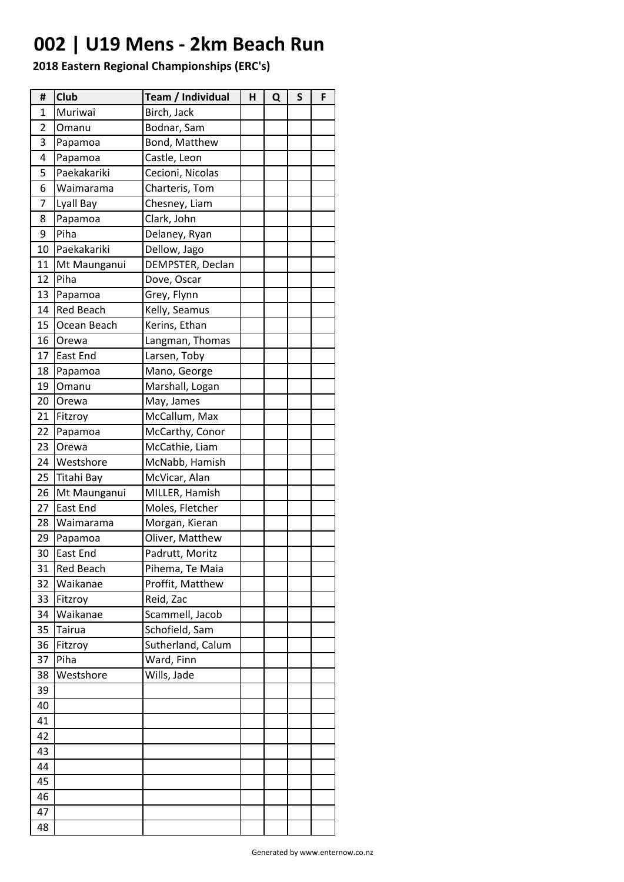## **002 | U19 Mens - 2km Beach Run**

| #              | Club             | Team / Individual | н | Q | S | F |
|----------------|------------------|-------------------|---|---|---|---|
| $\mathbf{1}$   | Muriwai          | Birch, Jack       |   |   |   |   |
| $\overline{2}$ | Omanu            | Bodnar, Sam       |   |   |   |   |
| 3              | Papamoa          | Bond, Matthew     |   |   |   |   |
| 4              | Papamoa          | Castle, Leon      |   |   |   |   |
| 5              | Paekakariki      | Cecioni, Nicolas  |   |   |   |   |
| 6              | Waimarama        | Charteris, Tom    |   |   |   |   |
| 7              | Lyall Bay        | Chesney, Liam     |   |   |   |   |
| 8              | Papamoa          | Clark, John       |   |   |   |   |
| 9              | Piha             | Delaney, Ryan     |   |   |   |   |
| 10             | Paekakariki      | Dellow, Jago      |   |   |   |   |
| 11             | Mt Maunganui     | DEMPSTER, Declan  |   |   |   |   |
| 12             | Piha             | Dove, Oscar       |   |   |   |   |
| 13             | Papamoa          | Grey, Flynn       |   |   |   |   |
| 14             | <b>Red Beach</b> | Kelly, Seamus     |   |   |   |   |
| 15             | Ocean Beach      | Kerins, Ethan     |   |   |   |   |
| 16             | Orewa            | Langman, Thomas   |   |   |   |   |
| 17             | East End         | Larsen, Toby      |   |   |   |   |
| 18             | Papamoa          | Mano, George      |   |   |   |   |
| 19             | Omanu            | Marshall, Logan   |   |   |   |   |
| 20             | Orewa            | May, James        |   |   |   |   |
| 21             | Fitzroy          | McCallum, Max     |   |   |   |   |
| 22             | Papamoa          | McCarthy, Conor   |   |   |   |   |
| 23             | Orewa            | McCathie, Liam    |   |   |   |   |
| 24             | Westshore        | McNabb, Hamish    |   |   |   |   |
| 25             | Titahi Bay       | McVicar, Alan     |   |   |   |   |
| 26             | Mt Maunganui     | MILLER, Hamish    |   |   |   |   |
| 27             | East End         | Moles, Fletcher   |   |   |   |   |
| 28             | Waimarama        | Morgan, Kieran    |   |   |   |   |
| 29             | Papamoa          | Oliver, Matthew   |   |   |   |   |
| 30             | East End         | Padrutt, Moritz   |   |   |   |   |
| 31             | <b>Red Beach</b> | Pihema, Te Maia   |   |   |   |   |
| 32             | Waikanae         | Proffit, Matthew  |   |   |   |   |
| 33             | Fitzroy          | Reid, Zac         |   |   |   |   |
| 34             | Waikanae         | Scammell, Jacob   |   |   |   |   |
| 35             | Tairua           | Schofield, Sam    |   |   |   |   |
| 36             | Fitzroy          | Sutherland, Calum |   |   |   |   |
| 37             | Piha             | Ward, Finn        |   |   |   |   |
| 38             | Westshore        | Wills, Jade       |   |   |   |   |
| 39             |                  |                   |   |   |   |   |
| 40             |                  |                   |   |   |   |   |
| 41             |                  |                   |   |   |   |   |
| 42             |                  |                   |   |   |   |   |
| 43             |                  |                   |   |   |   |   |
| 44             |                  |                   |   |   |   |   |
| 45             |                  |                   |   |   |   |   |
| 46             |                  |                   |   |   |   |   |
| 47             |                  |                   |   |   |   |   |
| 48             |                  |                   |   |   |   |   |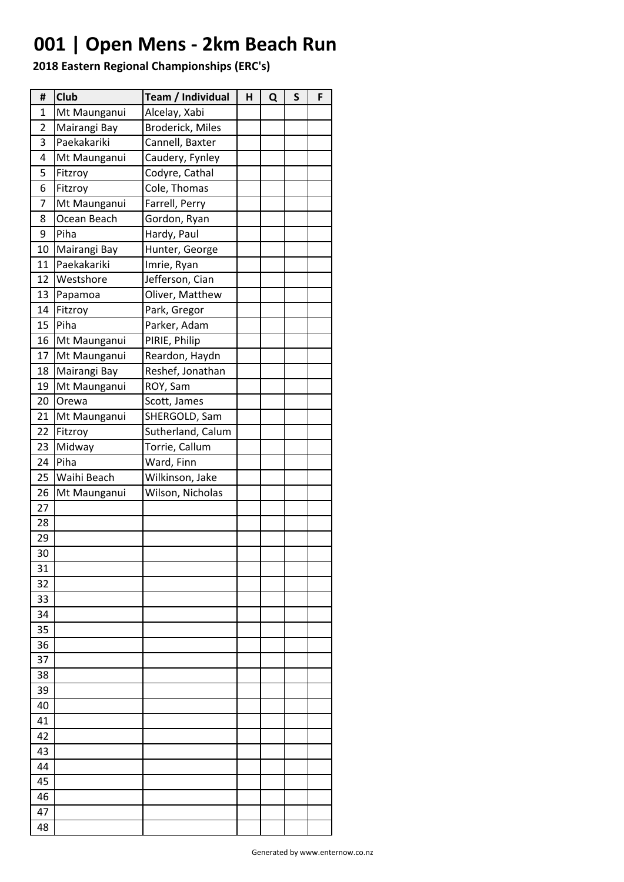## **001 | Open Mens - 2km Beach Run**

| 1<br>Mt Maunganui<br>Alcelay, Xabi<br>2<br><b>Broderick, Miles</b><br>Mairangi Bay<br>Paekakariki<br>3<br>Cannell, Baxter<br>4<br>Mt Maunganui<br>Caudery, Fynley<br>5<br>Codyre, Cathal<br>Fitzroy<br>Cole, Thomas<br>6<br>Fitzroy<br>7<br>Farrell, Perry<br>Mt Maunganui<br>Ocean Beach<br>8<br>Gordon, Ryan<br>9<br>Piha<br>Hardy, Paul<br>10<br>Mairangi Bay<br>Hunter, George<br>11<br>Paekakariki<br>Imrie, Ryan<br>12<br>Jefferson, Cian<br>Westshore<br>13<br>Oliver, Matthew<br>Papamoa<br>14<br>Fitzroy<br>Park, Gregor<br>15<br>Piha<br>Parker, Adam<br>16<br>PIRIE, Philip<br>Mt Maunganui<br>17<br>Mt Maunganui<br>Reardon, Haydn<br>18<br>Mairangi Bay<br>Reshef, Jonathan<br>19<br>Mt Maunganui<br>ROY, Sam<br>20<br>Orewa<br>Scott, James<br>21<br>SHERGOLD, Sam<br>Mt Maunganui<br>22<br>Fitzroy<br>Sutherland, Calum<br>Midway<br>23<br>Torrie, Callum<br>Piha<br>24<br>Ward, Finn<br>25<br>Waihi Beach<br>Wilkinson, Jake<br>26<br>Wilson, Nicholas<br>Mt Maunganui<br>27<br>28<br>29<br>30<br>31<br>32<br>33<br>34<br>35<br>36<br>37<br>38<br>39<br>40<br>41<br>42<br>43<br>44<br>45<br>46<br>47<br>48 | # | <b>Club</b> | Team / Individual | н | Q | S | F |
|----------------------------------------------------------------------------------------------------------------------------------------------------------------------------------------------------------------------------------------------------------------------------------------------------------------------------------------------------------------------------------------------------------------------------------------------------------------------------------------------------------------------------------------------------------------------------------------------------------------------------------------------------------------------------------------------------------------------------------------------------------------------------------------------------------------------------------------------------------------------------------------------------------------------------------------------------------------------------------------------------------------------------------------------------------------------------------------------------------------------------|---|-------------|-------------------|---|---|---|---|
|                                                                                                                                                                                                                                                                                                                                                                                                                                                                                                                                                                                                                                                                                                                                                                                                                                                                                                                                                                                                                                                                                                                            |   |             |                   |   |   |   |   |
|                                                                                                                                                                                                                                                                                                                                                                                                                                                                                                                                                                                                                                                                                                                                                                                                                                                                                                                                                                                                                                                                                                                            |   |             |                   |   |   |   |   |
|                                                                                                                                                                                                                                                                                                                                                                                                                                                                                                                                                                                                                                                                                                                                                                                                                                                                                                                                                                                                                                                                                                                            |   |             |                   |   |   |   |   |
|                                                                                                                                                                                                                                                                                                                                                                                                                                                                                                                                                                                                                                                                                                                                                                                                                                                                                                                                                                                                                                                                                                                            |   |             |                   |   |   |   |   |
|                                                                                                                                                                                                                                                                                                                                                                                                                                                                                                                                                                                                                                                                                                                                                                                                                                                                                                                                                                                                                                                                                                                            |   |             |                   |   |   |   |   |
|                                                                                                                                                                                                                                                                                                                                                                                                                                                                                                                                                                                                                                                                                                                                                                                                                                                                                                                                                                                                                                                                                                                            |   |             |                   |   |   |   |   |
|                                                                                                                                                                                                                                                                                                                                                                                                                                                                                                                                                                                                                                                                                                                                                                                                                                                                                                                                                                                                                                                                                                                            |   |             |                   |   |   |   |   |
|                                                                                                                                                                                                                                                                                                                                                                                                                                                                                                                                                                                                                                                                                                                                                                                                                                                                                                                                                                                                                                                                                                                            |   |             |                   |   |   |   |   |
|                                                                                                                                                                                                                                                                                                                                                                                                                                                                                                                                                                                                                                                                                                                                                                                                                                                                                                                                                                                                                                                                                                                            |   |             |                   |   |   |   |   |
|                                                                                                                                                                                                                                                                                                                                                                                                                                                                                                                                                                                                                                                                                                                                                                                                                                                                                                                                                                                                                                                                                                                            |   |             |                   |   |   |   |   |
|                                                                                                                                                                                                                                                                                                                                                                                                                                                                                                                                                                                                                                                                                                                                                                                                                                                                                                                                                                                                                                                                                                                            |   |             |                   |   |   |   |   |
|                                                                                                                                                                                                                                                                                                                                                                                                                                                                                                                                                                                                                                                                                                                                                                                                                                                                                                                                                                                                                                                                                                                            |   |             |                   |   |   |   |   |
|                                                                                                                                                                                                                                                                                                                                                                                                                                                                                                                                                                                                                                                                                                                                                                                                                                                                                                                                                                                                                                                                                                                            |   |             |                   |   |   |   |   |
|                                                                                                                                                                                                                                                                                                                                                                                                                                                                                                                                                                                                                                                                                                                                                                                                                                                                                                                                                                                                                                                                                                                            |   |             |                   |   |   |   |   |
|                                                                                                                                                                                                                                                                                                                                                                                                                                                                                                                                                                                                                                                                                                                                                                                                                                                                                                                                                                                                                                                                                                                            |   |             |                   |   |   |   |   |
|                                                                                                                                                                                                                                                                                                                                                                                                                                                                                                                                                                                                                                                                                                                                                                                                                                                                                                                                                                                                                                                                                                                            |   |             |                   |   |   |   |   |
|                                                                                                                                                                                                                                                                                                                                                                                                                                                                                                                                                                                                                                                                                                                                                                                                                                                                                                                                                                                                                                                                                                                            |   |             |                   |   |   |   |   |
|                                                                                                                                                                                                                                                                                                                                                                                                                                                                                                                                                                                                                                                                                                                                                                                                                                                                                                                                                                                                                                                                                                                            |   |             |                   |   |   |   |   |
|                                                                                                                                                                                                                                                                                                                                                                                                                                                                                                                                                                                                                                                                                                                                                                                                                                                                                                                                                                                                                                                                                                                            |   |             |                   |   |   |   |   |
|                                                                                                                                                                                                                                                                                                                                                                                                                                                                                                                                                                                                                                                                                                                                                                                                                                                                                                                                                                                                                                                                                                                            |   |             |                   |   |   |   |   |
|                                                                                                                                                                                                                                                                                                                                                                                                                                                                                                                                                                                                                                                                                                                                                                                                                                                                                                                                                                                                                                                                                                                            |   |             |                   |   |   |   |   |
|                                                                                                                                                                                                                                                                                                                                                                                                                                                                                                                                                                                                                                                                                                                                                                                                                                                                                                                                                                                                                                                                                                                            |   |             |                   |   |   |   |   |
|                                                                                                                                                                                                                                                                                                                                                                                                                                                                                                                                                                                                                                                                                                                                                                                                                                                                                                                                                                                                                                                                                                                            |   |             |                   |   |   |   |   |
|                                                                                                                                                                                                                                                                                                                                                                                                                                                                                                                                                                                                                                                                                                                                                                                                                                                                                                                                                                                                                                                                                                                            |   |             |                   |   |   |   |   |
|                                                                                                                                                                                                                                                                                                                                                                                                                                                                                                                                                                                                                                                                                                                                                                                                                                                                                                                                                                                                                                                                                                                            |   |             |                   |   |   |   |   |
|                                                                                                                                                                                                                                                                                                                                                                                                                                                                                                                                                                                                                                                                                                                                                                                                                                                                                                                                                                                                                                                                                                                            |   |             |                   |   |   |   |   |
|                                                                                                                                                                                                                                                                                                                                                                                                                                                                                                                                                                                                                                                                                                                                                                                                                                                                                                                                                                                                                                                                                                                            |   |             |                   |   |   |   |   |
|                                                                                                                                                                                                                                                                                                                                                                                                                                                                                                                                                                                                                                                                                                                                                                                                                                                                                                                                                                                                                                                                                                                            |   |             |                   |   |   |   |   |
|                                                                                                                                                                                                                                                                                                                                                                                                                                                                                                                                                                                                                                                                                                                                                                                                                                                                                                                                                                                                                                                                                                                            |   |             |                   |   |   |   |   |
|                                                                                                                                                                                                                                                                                                                                                                                                                                                                                                                                                                                                                                                                                                                                                                                                                                                                                                                                                                                                                                                                                                                            |   |             |                   |   |   |   |   |
|                                                                                                                                                                                                                                                                                                                                                                                                                                                                                                                                                                                                                                                                                                                                                                                                                                                                                                                                                                                                                                                                                                                            |   |             |                   |   |   |   |   |
|                                                                                                                                                                                                                                                                                                                                                                                                                                                                                                                                                                                                                                                                                                                                                                                                                                                                                                                                                                                                                                                                                                                            |   |             |                   |   |   |   |   |
|                                                                                                                                                                                                                                                                                                                                                                                                                                                                                                                                                                                                                                                                                                                                                                                                                                                                                                                                                                                                                                                                                                                            |   |             |                   |   |   |   |   |
|                                                                                                                                                                                                                                                                                                                                                                                                                                                                                                                                                                                                                                                                                                                                                                                                                                                                                                                                                                                                                                                                                                                            |   |             |                   |   |   |   |   |
|                                                                                                                                                                                                                                                                                                                                                                                                                                                                                                                                                                                                                                                                                                                                                                                                                                                                                                                                                                                                                                                                                                                            |   |             |                   |   |   |   |   |
|                                                                                                                                                                                                                                                                                                                                                                                                                                                                                                                                                                                                                                                                                                                                                                                                                                                                                                                                                                                                                                                                                                                            |   |             |                   |   |   |   |   |
|                                                                                                                                                                                                                                                                                                                                                                                                                                                                                                                                                                                                                                                                                                                                                                                                                                                                                                                                                                                                                                                                                                                            |   |             |                   |   |   |   |   |
|                                                                                                                                                                                                                                                                                                                                                                                                                                                                                                                                                                                                                                                                                                                                                                                                                                                                                                                                                                                                                                                                                                                            |   |             |                   |   |   |   |   |
|                                                                                                                                                                                                                                                                                                                                                                                                                                                                                                                                                                                                                                                                                                                                                                                                                                                                                                                                                                                                                                                                                                                            |   |             |                   |   |   |   |   |
|                                                                                                                                                                                                                                                                                                                                                                                                                                                                                                                                                                                                                                                                                                                                                                                                                                                                                                                                                                                                                                                                                                                            |   |             |                   |   |   |   |   |
|                                                                                                                                                                                                                                                                                                                                                                                                                                                                                                                                                                                                                                                                                                                                                                                                                                                                                                                                                                                                                                                                                                                            |   |             |                   |   |   |   |   |
|                                                                                                                                                                                                                                                                                                                                                                                                                                                                                                                                                                                                                                                                                                                                                                                                                                                                                                                                                                                                                                                                                                                            |   |             |                   |   |   |   |   |
|                                                                                                                                                                                                                                                                                                                                                                                                                                                                                                                                                                                                                                                                                                                                                                                                                                                                                                                                                                                                                                                                                                                            |   |             |                   |   |   |   |   |
|                                                                                                                                                                                                                                                                                                                                                                                                                                                                                                                                                                                                                                                                                                                                                                                                                                                                                                                                                                                                                                                                                                                            |   |             |                   |   |   |   |   |
|                                                                                                                                                                                                                                                                                                                                                                                                                                                                                                                                                                                                                                                                                                                                                                                                                                                                                                                                                                                                                                                                                                                            |   |             |                   |   |   |   |   |
|                                                                                                                                                                                                                                                                                                                                                                                                                                                                                                                                                                                                                                                                                                                                                                                                                                                                                                                                                                                                                                                                                                                            |   |             |                   |   |   |   |   |
|                                                                                                                                                                                                                                                                                                                                                                                                                                                                                                                                                                                                                                                                                                                                                                                                                                                                                                                                                                                                                                                                                                                            |   |             |                   |   |   |   |   |
|                                                                                                                                                                                                                                                                                                                                                                                                                                                                                                                                                                                                                                                                                                                                                                                                                                                                                                                                                                                                                                                                                                                            |   |             |                   |   |   |   |   |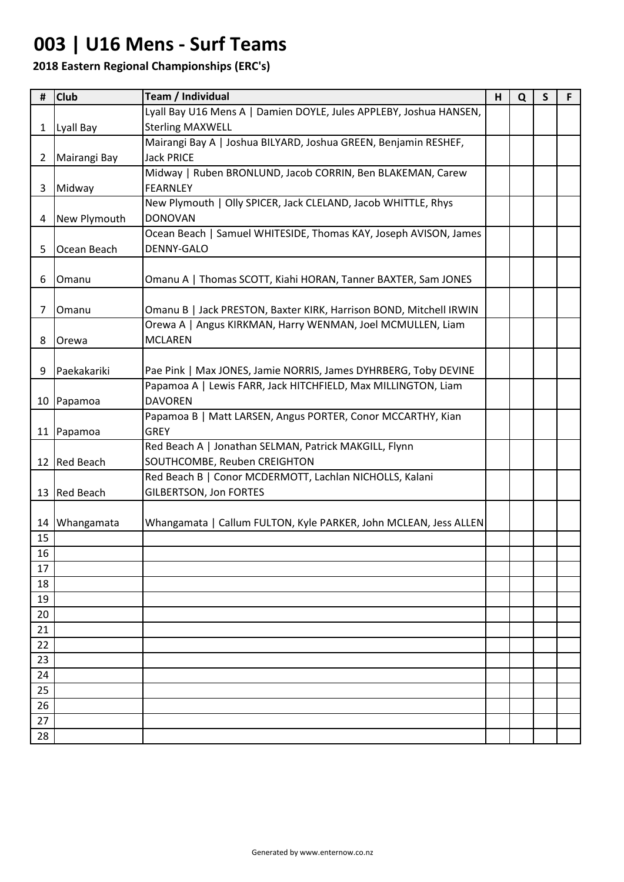## **003 | U16 Mens - Surf Teams**

| #              | <b>Club</b>      | Team / Individual                                                  | H | Q | $\mathsf{s}$ | F |
|----------------|------------------|--------------------------------------------------------------------|---|---|--------------|---|
|                |                  | Lyall Bay U16 Mens A   Damien DOYLE, Jules APPLEBY, Joshua HANSEN, |   |   |              |   |
| $\mathbf{1}$   | Lyall Bay        | <b>Sterling MAXWELL</b>                                            |   |   |              |   |
|                |                  | Mairangi Bay A   Joshua BILYARD, Joshua GREEN, Benjamin RESHEF,    |   |   |              |   |
| $2^{\circ}$    | Mairangi Bay     | <b>Jack PRICE</b>                                                  |   |   |              |   |
|                |                  | Midway   Ruben BRONLUND, Jacob CORRIN, Ben BLAKEMAN, Carew         |   |   |              |   |
| 3              | Midway           | <b>FEARNLEY</b>                                                    |   |   |              |   |
|                |                  | New Plymouth   Olly SPICER, Jack CLELAND, Jacob WHITTLE, Rhys      |   |   |              |   |
| 4              | New Plymouth     | <b>DONOVAN</b>                                                     |   |   |              |   |
|                |                  | Ocean Beach   Samuel WHITESIDE, Thomas KAY, Joseph AVISON, James   |   |   |              |   |
| 5              | Ocean Beach      | DENNY-GALO                                                         |   |   |              |   |
|                |                  |                                                                    |   |   |              |   |
| 6              | Omanu            | Omanu A   Thomas SCOTT, Kiahi HORAN, Tanner BAXTER, Sam JONES      |   |   |              |   |
|                |                  |                                                                    |   |   |              |   |
| $\overline{7}$ | Omanu            | Omanu B   Jack PRESTON, Baxter KIRK, Harrison BOND, Mitchell IRWIN |   |   |              |   |
|                |                  | Orewa A   Angus KIRKMAN, Harry WENMAN, Joel MCMULLEN, Liam         |   |   |              |   |
| 8              | Orewa            | <b>MCLAREN</b>                                                     |   |   |              |   |
|                |                  |                                                                    |   |   |              |   |
| 9              | Paekakariki      | Pae Pink   Max JONES, Jamie NORRIS, James DYHRBERG, Toby DEVINE    |   |   |              |   |
|                |                  | Papamoa A   Lewis FARR, Jack HITCHFIELD, Max MILLINGTON, Liam      |   |   |              |   |
|                | 10 Papamoa       | <b>DAVOREN</b>                                                     |   |   |              |   |
|                |                  | Papamoa B   Matt LARSEN, Angus PORTER, Conor MCCARTHY, Kian        |   |   |              |   |
|                | 11 Papamoa       | <b>GREY</b>                                                        |   |   |              |   |
|                |                  | Red Beach A   Jonathan SELMAN, Patrick MAKGILL, Flynn              |   |   |              |   |
| 12             | <b>Red Beach</b> | SOUTHCOMBE, Reuben CREIGHTON                                       |   |   |              |   |
|                |                  | Red Beach B   Conor MCDERMOTT, Lachlan NICHOLLS, Kalani            |   |   |              |   |
|                | 13 Red Beach     | <b>GILBERTSON, Jon FORTES</b>                                      |   |   |              |   |
|                |                  |                                                                    |   |   |              |   |
| 14             | Whangamata       | Whangamata   Callum FULTON, Kyle PARKER, John MCLEAN, Jess ALLEN   |   |   |              |   |
| 15             |                  |                                                                    |   |   |              |   |
| 16             |                  |                                                                    |   |   |              |   |
| 17             |                  |                                                                    |   |   |              |   |
| 18             |                  |                                                                    |   |   |              |   |
| 19             |                  |                                                                    |   |   |              |   |
| 20             |                  |                                                                    |   |   |              |   |
| 21             |                  |                                                                    |   |   |              |   |
| 22             |                  |                                                                    |   |   |              |   |
| 23             |                  |                                                                    |   |   |              |   |
| 24             |                  |                                                                    |   |   |              |   |
| 25             |                  |                                                                    |   |   |              |   |
| 26             |                  |                                                                    |   |   |              |   |
| 27             |                  |                                                                    |   |   |              |   |
| 28             |                  |                                                                    |   |   |              |   |
|                |                  |                                                                    |   |   |              |   |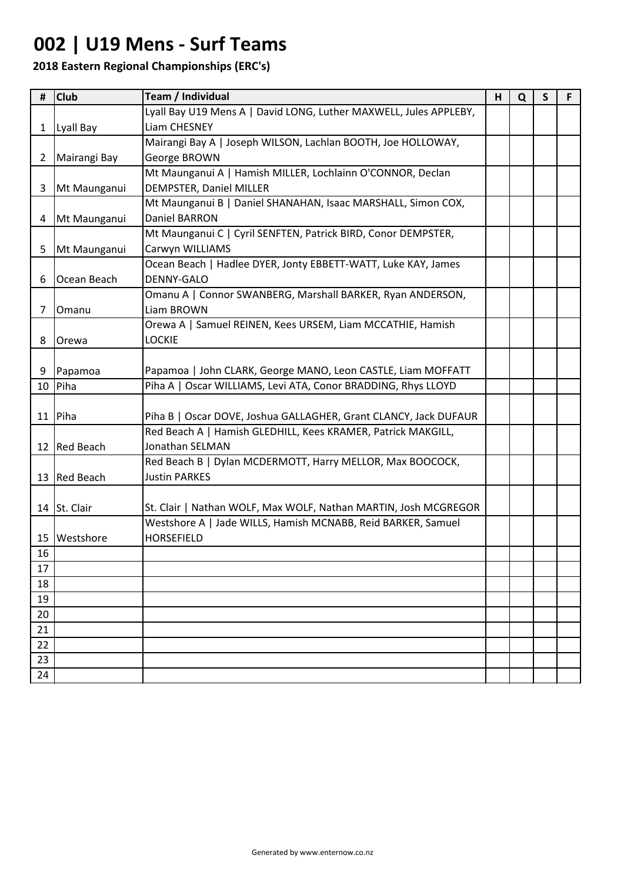## **002 | U19 Mens - Surf Teams**

| #            | <b>Club</b>    | Team / Individual                                                 | H | Q | $\mathsf{s}$ | F. |
|--------------|----------------|-------------------------------------------------------------------|---|---|--------------|----|
|              |                | Lyall Bay U19 Mens A   David LONG, Luther MAXWELL, Jules APPLEBY, |   |   |              |    |
|              | 1   Lyall Bay  | Liam CHESNEY                                                      |   |   |              |    |
|              |                | Mairangi Bay A   Joseph WILSON, Lachlan BOOTH, Joe HOLLOWAY,      |   |   |              |    |
| $\mathbf{2}$ | Mairangi Bay   | George BROWN                                                      |   |   |              |    |
|              |                | Mt Maunganui A   Hamish MILLER, Lochlainn O'CONNOR, Declan        |   |   |              |    |
| 3            | Mt Maunganui   | DEMPSTER, Daniel MILLER                                           |   |   |              |    |
|              |                | Mt Maunganui B   Daniel SHANAHAN, Isaac MARSHALL, Simon COX,      |   |   |              |    |
|              | 4 Mt Maunganui | Daniel BARRON                                                     |   |   |              |    |
|              |                | Mt Maunganui C   Cyril SENFTEN, Patrick BIRD, Conor DEMPSTER,     |   |   |              |    |
| 5            | Mt Maunganui   | Carwyn WILLIAMS                                                   |   |   |              |    |
|              |                | Ocean Beach   Hadlee DYER, Jonty EBBETT-WATT, Luke KAY, James     |   |   |              |    |
| 6            | Ocean Beach    | <b>DENNY-GALO</b>                                                 |   |   |              |    |
|              |                | Omanu A   Connor SWANBERG, Marshall BARKER, Ryan ANDERSON,        |   |   |              |    |
| 7            | Omanu          | Liam BROWN                                                        |   |   |              |    |
|              |                | Orewa A   Samuel REINEN, Kees URSEM, Liam MCCATHIE, Hamish        |   |   |              |    |
| 8            | <b>Orewa</b>   | <b>LOCKIE</b>                                                     |   |   |              |    |
|              |                |                                                                   |   |   |              |    |
| 9            | Papamoa        | Papamoa   John CLARK, George MANO, Leon CASTLE, Liam MOFFATT      |   |   |              |    |
|              | 10 Piha        | Piha A   Oscar WILLIAMS, Levi ATA, Conor BRADDING, Rhys LLOYD     |   |   |              |    |
|              |                |                                                                   |   |   |              |    |
|              | 11 Piha        | Piha B   Oscar DOVE, Joshua GALLAGHER, Grant CLANCY, Jack DUFAUR  |   |   |              |    |
|              |                | Red Beach A   Hamish GLEDHILL, Kees KRAMER, Patrick MAKGILL,      |   |   |              |    |
|              | 12 Red Beach   | Jonathan SELMAN                                                   |   |   |              |    |
|              |                | Red Beach B   Dylan MCDERMOTT, Harry MELLOR, Max BOOCOCK,         |   |   |              |    |
|              | 13 Red Beach   | <b>Justin PARKES</b>                                              |   |   |              |    |
|              |                |                                                                   |   |   |              |    |
|              | 14 St. Clair   | St. Clair   Nathan WOLF, Max WOLF, Nathan MARTIN, Josh MCGREGOR   |   |   |              |    |
|              |                | Westshore A   Jade WILLS, Hamish MCNABB, Reid BARKER, Samuel      |   |   |              |    |
| 15           | Westshore      | <b>HORSEFIELD</b>                                                 |   |   |              |    |
| 16           |                |                                                                   |   |   |              |    |
| 17           |                |                                                                   |   |   |              |    |
| 18           |                |                                                                   |   |   |              |    |
| 19           |                |                                                                   |   |   |              |    |
| 20           |                |                                                                   |   |   |              |    |
| 21           |                |                                                                   |   |   |              |    |
| 22           |                |                                                                   |   |   |              |    |
| 23           |                |                                                                   |   |   |              |    |
| 24           |                |                                                                   |   |   |              |    |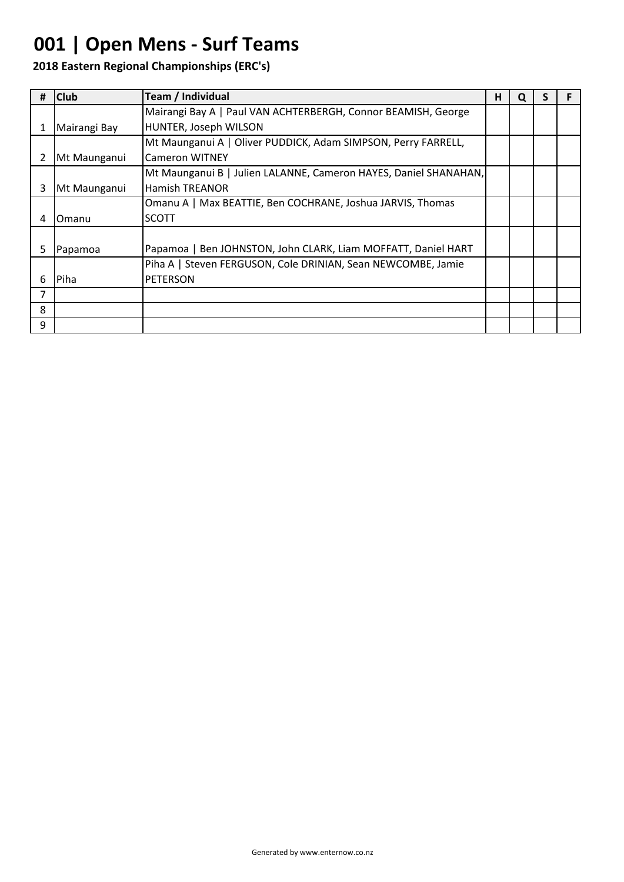# **001 | Open Mens - Surf Teams**

|    | <b>Club</b>  | Team / Individual                                                | н |  |  |
|----|--------------|------------------------------------------------------------------|---|--|--|
|    |              | Mairangi Bay A   Paul VAN ACHTERBERGH, Connor BEAMISH, George    |   |  |  |
|    | Mairangi Bay | HUNTER, Joseph WILSON                                            |   |  |  |
|    |              | Mt Maunganui A   Oliver PUDDICK, Adam SIMPSON, Perry FARRELL,    |   |  |  |
|    | Mt Maunganui | <b>Cameron WITNEY</b>                                            |   |  |  |
|    |              | Mt Maunganui B   Julien LALANNE, Cameron HAYES, Daniel SHANAHAN, |   |  |  |
| 3  | Mt Maunganui | <b>Hamish TREANOR</b>                                            |   |  |  |
|    |              | Omanu A   Max BEATTIE, Ben COCHRANE, Joshua JARVIS, Thomas       |   |  |  |
| 4  | Omanu        | SCOTT                                                            |   |  |  |
|    |              |                                                                  |   |  |  |
| 5. | Papamoa      | Papamoa   Ben JOHNSTON, John CLARK, Liam MOFFATT, Daniel HART    |   |  |  |
|    |              | Piha A   Steven FERGUSON, Cole DRINIAN, Sean NEWCOMBE, Jamie     |   |  |  |
| 6  | Piha         | <b>PETERSON</b>                                                  |   |  |  |
| 7  |              |                                                                  |   |  |  |
| 8  |              |                                                                  |   |  |  |
| 9  |              |                                                                  |   |  |  |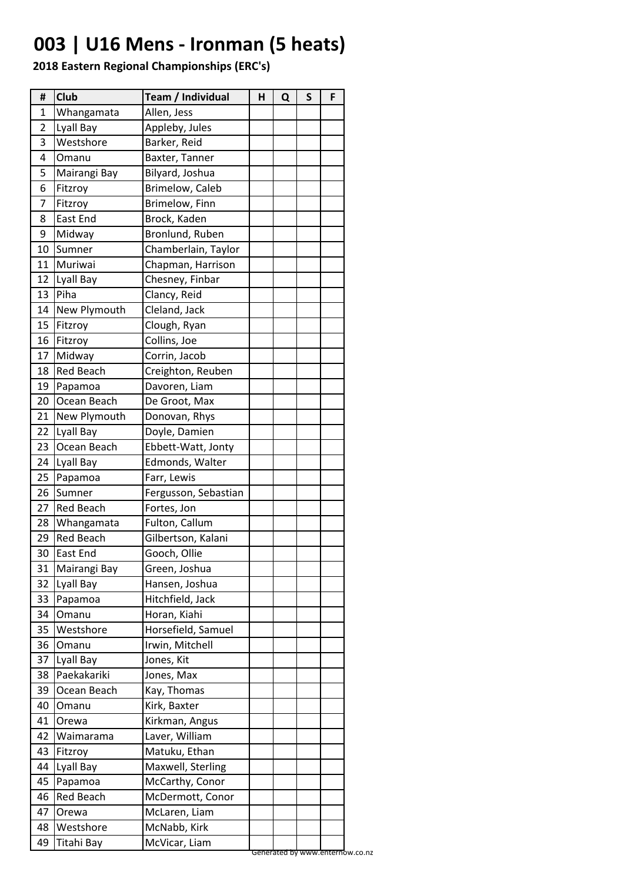# **003 | U16 Mens - Ironman (5 heats)**

| #  | <b>Club</b>      | Team / Individual    | Н | Q | S | F |  |
|----|------------------|----------------------|---|---|---|---|--|
| 1  | Whangamata       | Allen, Jess          |   |   |   |   |  |
| 2  | Lyall Bay        | Appleby, Jules       |   |   |   |   |  |
| 3  | Westshore        | Barker, Reid         |   |   |   |   |  |
| 4  | Omanu            | Baxter, Tanner       |   |   |   |   |  |
| 5  | Mairangi Bay     | Bilyard, Joshua      |   |   |   |   |  |
| 6  | Fitzroy          | Brimelow, Caleb      |   |   |   |   |  |
| 7  | Fitzroy          | Brimelow, Finn       |   |   |   |   |  |
| 8  | East End         | Brock, Kaden         |   |   |   |   |  |
| 9  | Midway           | Bronlund, Ruben      |   |   |   |   |  |
| 10 | Sumner           | Chamberlain, Taylor  |   |   |   |   |  |
| 11 | Muriwai          | Chapman, Harrison    |   |   |   |   |  |
| 12 | Lyall Bay        | Chesney, Finbar      |   |   |   |   |  |
| 13 | Piha             | Clancy, Reid         |   |   |   |   |  |
| 14 | New Plymouth     | Cleland, Jack        |   |   |   |   |  |
| 15 | Fitzroy          | Clough, Ryan         |   |   |   |   |  |
| 16 | Fitzroy          | Collins, Joe         |   |   |   |   |  |
| 17 | Midway           | Corrin, Jacob        |   |   |   |   |  |
| 18 | <b>Red Beach</b> | Creighton, Reuben    |   |   |   |   |  |
| 19 | Papamoa          | Davoren, Liam        |   |   |   |   |  |
| 20 | Ocean Beach      | De Groot, Max        |   |   |   |   |  |
| 21 | New Plymouth     | Donovan, Rhys        |   |   |   |   |  |
| 22 | Lyall Bay        | Doyle, Damien        |   |   |   |   |  |
| 23 | Ocean Beach      | Ebbett-Watt, Jonty   |   |   |   |   |  |
| 24 | Lyall Bay        | Edmonds, Walter      |   |   |   |   |  |
| 25 | Papamoa          | Farr, Lewis          |   |   |   |   |  |
| 26 | Sumner           | Fergusson, Sebastian |   |   |   |   |  |
| 27 | <b>Red Beach</b> | Fortes, Jon          |   |   |   |   |  |
| 28 | Whangamata       | Fulton, Callum       |   |   |   |   |  |
| 29 | <b>Red Beach</b> | Gilbertson, Kalani   |   |   |   |   |  |
| 30 | <b>East End</b>  | Gooch, Ollie         |   |   |   |   |  |
| 31 | Mairangi Bay     | Green, Joshua        |   |   |   |   |  |
| 32 | Lyall Bay        | Hansen, Joshua       |   |   |   |   |  |
| 33 | Papamoa          | Hitchfield, Jack     |   |   |   |   |  |
| 34 | Omanu            | Horan, Kiahi         |   |   |   |   |  |
| 35 | Westshore        | Horsefield, Samuel   |   |   |   |   |  |
| 36 | Omanu            | Irwin, Mitchell      |   |   |   |   |  |
| 37 | Lyall Bay        | Jones, Kit           |   |   |   |   |  |
| 38 | Paekakariki      | Jones, Max           |   |   |   |   |  |
| 39 | Ocean Beach      | Kay, Thomas          |   |   |   |   |  |
| 40 | Omanu            | Kirk, Baxter         |   |   |   |   |  |
| 41 | Orewa            | Kirkman, Angus       |   |   |   |   |  |
| 42 | Waimarama        | Laver, William       |   |   |   |   |  |
| 43 | Fitzroy          | Matuku, Ethan        |   |   |   |   |  |
| 44 | Lyall Bay        | Maxwell, Sterling    |   |   |   |   |  |
| 45 | Papamoa          | McCarthy, Conor      |   |   |   |   |  |
| 46 | Red Beach        | McDermott, Conor     |   |   |   |   |  |
| 47 | Orewa            | McLaren, Liam        |   |   |   |   |  |
| 48 | Westshore        | McNabb, Kirk         |   |   |   |   |  |
|    |                  |                      |   |   |   |   |  |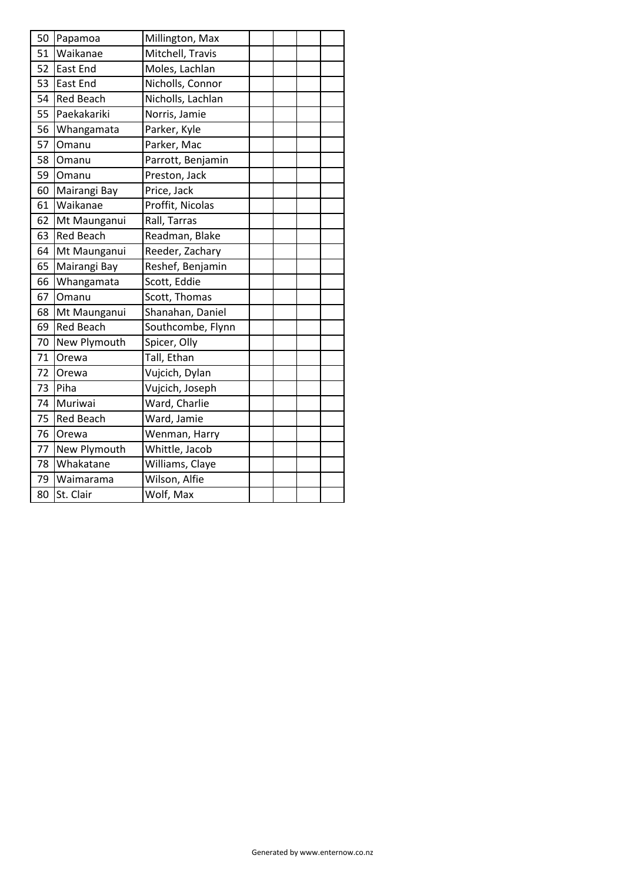| 50 | Papamoa          | Millington, Max   |  |  |
|----|------------------|-------------------|--|--|
| 51 | Waikanae         | Mitchell, Travis  |  |  |
| 52 | East End         | Moles, Lachlan    |  |  |
| 53 | <b>East End</b>  | Nicholls, Connor  |  |  |
| 54 | <b>Red Beach</b> | Nicholls, Lachlan |  |  |
| 55 | Paekakariki      | Norris, Jamie     |  |  |
| 56 | Whangamata       | Parker, Kyle      |  |  |
| 57 | Omanu            | Parker, Mac       |  |  |
| 58 | Omanu            | Parrott, Benjamin |  |  |
| 59 | Omanu            | Preston, Jack     |  |  |
| 60 | Mairangi Bay     | Price, Jack       |  |  |
| 61 | Waikanae         | Proffit, Nicolas  |  |  |
| 62 | Mt Maunganui     | Rall, Tarras      |  |  |
| 63 | <b>Red Beach</b> | Readman, Blake    |  |  |
| 64 | Mt Maunganui     | Reeder, Zachary   |  |  |
| 65 | Mairangi Bay     | Reshef, Benjamin  |  |  |
| 66 | Whangamata       | Scott, Eddie      |  |  |
| 67 | Omanu            | Scott, Thomas     |  |  |
| 68 | Mt Maunganui     | Shanahan, Daniel  |  |  |
| 69 | <b>Red Beach</b> | Southcombe, Flynn |  |  |
| 70 | New Plymouth     | Spicer, Olly      |  |  |
| 71 | Orewa            | Tall, Ethan       |  |  |
| 72 | Orewa            | Vujcich, Dylan    |  |  |
| 73 | Piha             | Vujcich, Joseph   |  |  |
| 74 | Muriwai          | Ward, Charlie     |  |  |
| 75 | <b>Red Beach</b> | Ward, Jamie       |  |  |
| 76 | Orewa            | Wenman, Harry     |  |  |
| 77 | New Plymouth     | Whittle, Jacob    |  |  |
| 78 | Whakatane        | Williams, Claye   |  |  |
| 79 | Waimarama        | Wilson, Alfie     |  |  |
| 80 | St. Clair        | Wolf, Max         |  |  |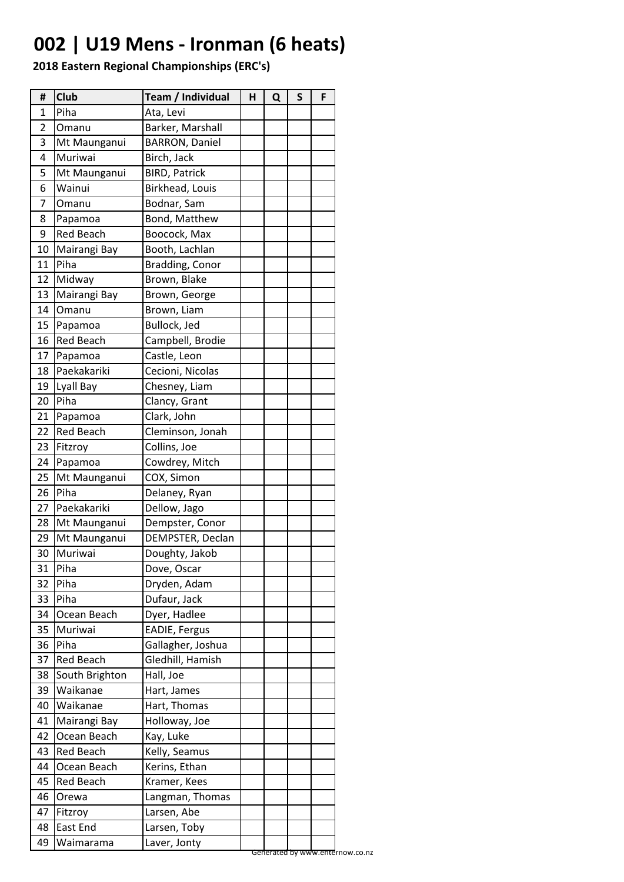# **002 | U19 Mens - Ironman (6 heats)**

| #  | Club             | Team / Individual     | н | Q | S | F |
|----|------------------|-----------------------|---|---|---|---|
| 1  | Piha             | Ata, Levi             |   |   |   |   |
| 2  | Omanu            | Barker, Marshall      |   |   |   |   |
| 3  | Mt Maunganui     | <b>BARRON, Daniel</b> |   |   |   |   |
| 4  | Muriwai          | Birch, Jack           |   |   |   |   |
| 5  | Mt Maunganui     | <b>BIRD, Patrick</b>  |   |   |   |   |
| 6  | Wainui           | Birkhead, Louis       |   |   |   |   |
| 7  | Omanu            | Bodnar, Sam           |   |   |   |   |
| 8  | Papamoa          | Bond, Matthew         |   |   |   |   |
| 9  | <b>Red Beach</b> | Boocock, Max          |   |   |   |   |
| 10 | Mairangi Bay     | Booth, Lachlan        |   |   |   |   |
| 11 | Piha             | Bradding, Conor       |   |   |   |   |
| 12 | Midway           | Brown, Blake          |   |   |   |   |
| 13 | Mairangi Bay     | Brown, George         |   |   |   |   |
| 14 | Omanu            | Brown, Liam           |   |   |   |   |
| 15 | Papamoa          | Bullock, Jed          |   |   |   |   |
| 16 | <b>Red Beach</b> | Campbell, Brodie      |   |   |   |   |
| 17 | Papamoa          | Castle, Leon          |   |   |   |   |
| 18 | Paekakariki      | Cecioni, Nicolas      |   |   |   |   |
| 19 | Lyall Bay        | Chesney, Liam         |   |   |   |   |
| 20 | Piha             | Clancy, Grant         |   |   |   |   |
| 21 | Papamoa          | Clark, John           |   |   |   |   |
| 22 | <b>Red Beach</b> | Cleminson, Jonah      |   |   |   |   |
| 23 | Fitzroy          | Collins, Joe          |   |   |   |   |
| 24 | Papamoa          | Cowdrey, Mitch        |   |   |   |   |
| 25 | Mt Maunganui     | COX, Simon            |   |   |   |   |
| 26 | Piha             | Delaney, Ryan         |   |   |   |   |
| 27 | Paekakariki      | Dellow, Jago          |   |   |   |   |
| 28 | Mt Maunganui     | Dempster, Conor       |   |   |   |   |
| 29 | Mt Maunganui     | DEMPSTER, Declan      |   |   |   |   |
| 30 | Muriwai          | Doughty, Jakob        |   |   |   |   |
| 31 | Piha             | Dove, Oscar           |   |   |   |   |
| 32 | Piha             | Dryden, Adam          |   |   |   |   |
| 33 | Piha             | Dufaur, Jack          |   |   |   |   |
| 34 | Ocean Beach      | Dyer, Hadlee          |   |   |   |   |
| 35 | Muriwai          | EADIE, Fergus         |   |   |   |   |
| 36 | Piha             | Gallagher, Joshua     |   |   |   |   |
| 37 | <b>Red Beach</b> | Gledhill, Hamish      |   |   |   |   |
| 38 | South Brighton   | Hall, Joe             |   |   |   |   |
| 39 | Waikanae         | Hart, James           |   |   |   |   |
| 40 | Waikanae         | Hart, Thomas          |   |   |   |   |
| 41 | Mairangi Bay     | Holloway, Joe         |   |   |   |   |
| 42 | Ocean Beach      | Kay, Luke             |   |   |   |   |
| 43 | <b>Red Beach</b> | Kelly, Seamus         |   |   |   |   |
| 44 | Ocean Beach      | Kerins, Ethan         |   |   |   |   |
| 45 | <b>Red Beach</b> | Kramer, Kees          |   |   |   |   |
| 46 | Orewa            | Langman, Thomas       |   |   |   |   |
| 47 | Fitzroy          | Larsen, Abe           |   |   |   |   |
|    | East End         |                       |   |   |   |   |
| 48 |                  | Larsen, Toby          |   |   |   |   |
| 49 | Waimarama        | Laver, Jonty          |   |   |   |   |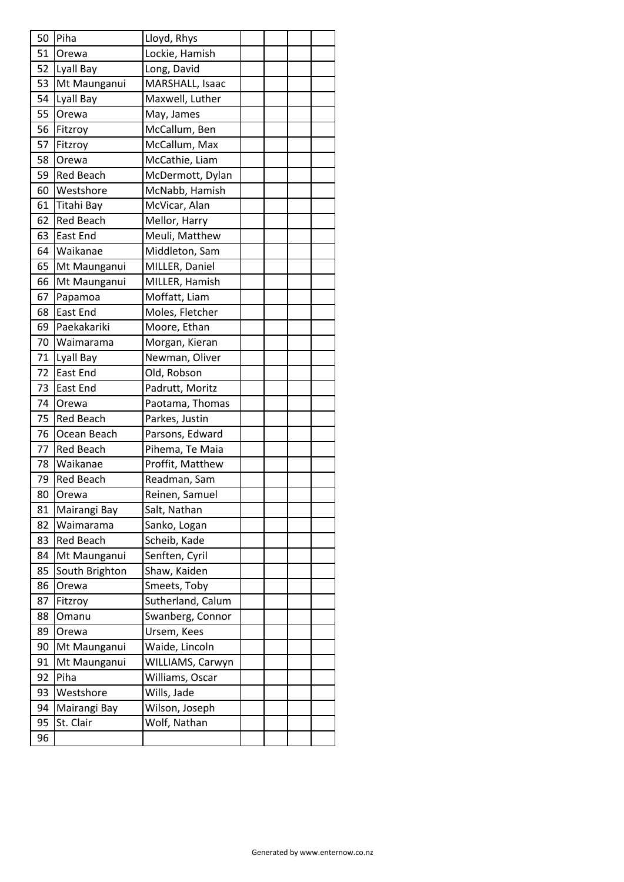| 50 | Piha             | Lloyd, Rhys       |  |  |
|----|------------------|-------------------|--|--|
| 51 | <b>Orewa</b>     | Lockie, Hamish    |  |  |
| 52 | Lyall Bay        | Long, David       |  |  |
| 53 | Mt Maunganui     | MARSHALL, Isaac   |  |  |
| 54 | Lyall Bay        | Maxwell, Luther   |  |  |
| 55 | Orewa            | May, James        |  |  |
| 56 | Fitzroy          | McCallum, Ben     |  |  |
| 57 | Fitzroy          | McCallum, Max     |  |  |
| 58 | Orewa            | McCathie, Liam    |  |  |
| 59 | <b>Red Beach</b> | McDermott, Dylan  |  |  |
| 60 | Westshore        | McNabb, Hamish    |  |  |
| 61 | Titahi Bay       | McVicar, Alan     |  |  |
| 62 | <b>Red Beach</b> | Mellor, Harry     |  |  |
| 63 | <b>East End</b>  | Meuli, Matthew    |  |  |
| 64 | Waikanae         | Middleton, Sam    |  |  |
| 65 | Mt Maunganui     | MILLER, Daniel    |  |  |
| 66 | Mt Maunganui     | MILLER, Hamish    |  |  |
| 67 | Papamoa          | Moffatt, Liam     |  |  |
| 68 | East End         | Moles, Fletcher   |  |  |
| 69 | Paekakariki      | Moore, Ethan      |  |  |
| 70 | Waimarama        | Morgan, Kieran    |  |  |
| 71 | Lyall Bay        | Newman, Oliver    |  |  |
| 72 | East End         | Old, Robson       |  |  |
| 73 | East End         | Padrutt, Moritz   |  |  |
| 74 | Orewa            | Paotama, Thomas   |  |  |
| 75 | <b>Red Beach</b> | Parkes, Justin    |  |  |
| 76 | Ocean Beach      | Parsons, Edward   |  |  |
| 77 | <b>Red Beach</b> | Pihema, Te Maia   |  |  |
| 78 | Waikanae         | Proffit, Matthew  |  |  |
| 79 | <b>Red Beach</b> | Readman, Sam      |  |  |
| 80 | <b>O</b> rewa    | Reinen, Samuel    |  |  |
| 81 | Mairangi Bay     | Salt, Nathan      |  |  |
| 82 | Waimarama        | Sanko, Logan      |  |  |
| 83 | Red Beach        | Scheib, Kade      |  |  |
| 84 | Mt Maunganui     | Senften, Cyril    |  |  |
| 85 | South Brighton   | Shaw, Kaiden      |  |  |
| 86 | Orewa            | Smeets, Toby      |  |  |
| 87 | Fitzroy          | Sutherland, Calum |  |  |
| 88 | Omanu            | Swanberg, Connor  |  |  |
| 89 | Orewa            | Ursem, Kees       |  |  |
| 90 | Mt Maunganui     | Waide, Lincoln    |  |  |
| 91 | Mt Maunganui     | WILLIAMS, Carwyn  |  |  |
| 92 | Piha             | Williams, Oscar   |  |  |
| 93 | Westshore        | Wills, Jade       |  |  |
| 94 | Mairangi Bay     | Wilson, Joseph    |  |  |
| 95 | St. Clair        | Wolf, Nathan      |  |  |
| 96 |                  |                   |  |  |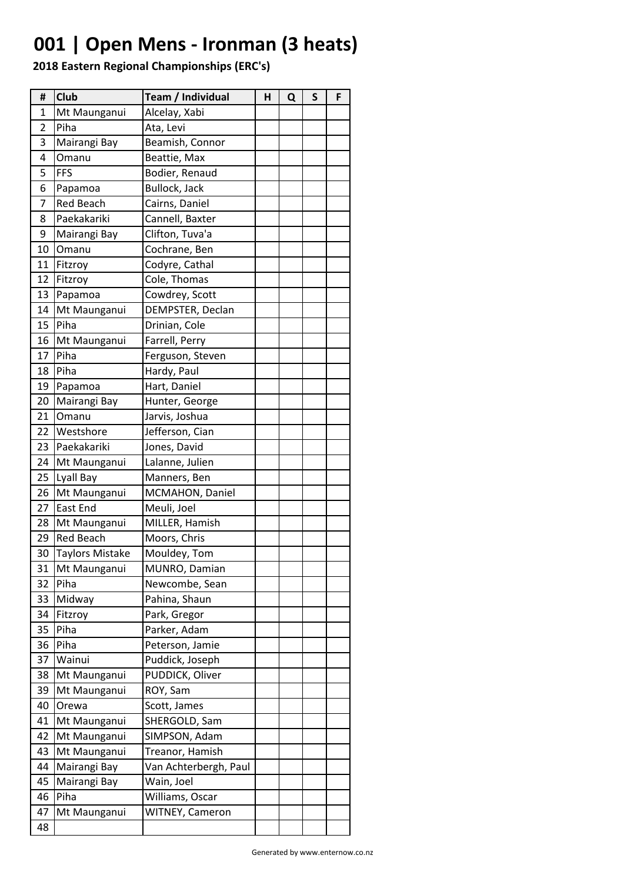# **001 | Open Mens - Ironman (3 heats)**

| #  | Club                   | Team / Individual     | н | Q | S | F |
|----|------------------------|-----------------------|---|---|---|---|
| 1  | Mt Maunganui           | Alcelay, Xabi         |   |   |   |   |
| 2  | Piha                   | Ata, Levi             |   |   |   |   |
| 3  | Mairangi Bay           | Beamish, Connor       |   |   |   |   |
| 4  | Omanu                  | Beattie, Max          |   |   |   |   |
| 5  | <b>FFS</b>             | Bodier, Renaud        |   |   |   |   |
| 6  | Papamoa                | Bullock, Jack         |   |   |   |   |
| 7  | <b>Red Beach</b>       | Cairns, Daniel        |   |   |   |   |
| 8  | Paekakariki            | Cannell, Baxter       |   |   |   |   |
| 9  | Mairangi Bay           | Clifton, Tuva'a       |   |   |   |   |
| 10 | Omanu                  | Cochrane, Ben         |   |   |   |   |
| 11 | Fitzroy                | Codyre, Cathal        |   |   |   |   |
| 12 | Fitzroy                | Cole, Thomas          |   |   |   |   |
| 13 | Papamoa                | Cowdrey, Scott        |   |   |   |   |
| 14 | Mt Maunganui           | DEMPSTER, Declan      |   |   |   |   |
| 15 | Piha                   | Drinian, Cole         |   |   |   |   |
| 16 | Mt Maunganui           | Farrell, Perry        |   |   |   |   |
| 17 | Piha                   | Ferguson, Steven      |   |   |   |   |
| 18 | Piha                   | Hardy, Paul           |   |   |   |   |
| 19 | Papamoa                | Hart, Daniel          |   |   |   |   |
| 20 | Mairangi Bay           | Hunter, George        |   |   |   |   |
| 21 | Omanu                  | Jarvis, Joshua        |   |   |   |   |
| 22 | Westshore              | Jefferson, Cian       |   |   |   |   |
| 23 | Paekakariki            | Jones, David          |   |   |   |   |
| 24 | Mt Maunganui           | Lalanne, Julien       |   |   |   |   |
| 25 | Lyall Bay              | Manners, Ben          |   |   |   |   |
| 26 | Mt Maunganui           | MCMAHON, Daniel       |   |   |   |   |
| 27 | East End               | Meuli, Joel           |   |   |   |   |
| 28 | Mt Maunganui           | MILLER, Hamish        |   |   |   |   |
| 29 | <b>Red Beach</b>       | Moors, Chris          |   |   |   |   |
| 30 | <b>Taylors Mistake</b> | Mouldey, Tom          |   |   |   |   |
| 31 | Mt Maunganui           | MUNRO, Damian         |   |   |   |   |
| 32 | Piha                   | Newcombe, Sean        |   |   |   |   |
| 33 | Midway                 | Pahina, Shaun         |   |   |   |   |
| 34 | Fitzroy                | Park, Gregor          |   |   |   |   |
| 35 | Piha                   | Parker, Adam          |   |   |   |   |
| 36 | Piha                   | Peterson, Jamie       |   |   |   |   |
| 37 | Wainui                 | Puddick, Joseph       |   |   |   |   |
| 38 | Mt Maunganui           | PUDDICK, Oliver       |   |   |   |   |
| 39 | Mt Maunganui           | ROY, Sam              |   |   |   |   |
| 40 | Orewa                  | Scott, James          |   |   |   |   |
| 41 | Mt Maunganui           | SHERGOLD, Sam         |   |   |   |   |
| 42 | Mt Maunganui           | SIMPSON, Adam         |   |   |   |   |
| 43 | Mt Maunganui           | Treanor, Hamish       |   |   |   |   |
| 44 | Mairangi Bay           | Van Achterbergh, Paul |   |   |   |   |
| 45 | Mairangi Bay           | Wain, Joel            |   |   |   |   |
| 46 | Piha                   | Williams, Oscar       |   |   |   |   |
| 47 | Mt Maunganui           | WITNEY, Cameron       |   |   |   |   |
| 48 |                        |                       |   |   |   |   |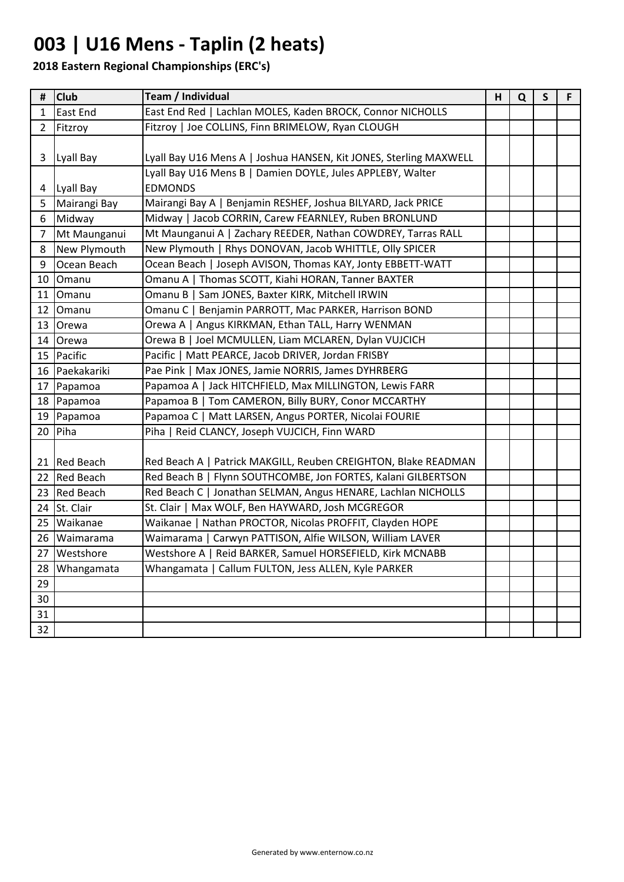# **003 | U16 Mens - Taplin (2 heats)**

| #              | <b>Club</b>    | Team / Individual                                                                                                               | н | Q | $\mathsf{S}$ | F. |
|----------------|----------------|---------------------------------------------------------------------------------------------------------------------------------|---|---|--------------|----|
| $\mathbf{1}$   | East End       | East End Red   Lachlan MOLES, Kaden BROCK, Connor NICHOLLS                                                                      |   |   |              |    |
| $2^{\circ}$    | Fitzroy        | Fitzroy   Joe COLLINS, Finn BRIMELOW, Ryan CLOUGH                                                                               |   |   |              |    |
| 3              | Lyall Bay      | Lyall Bay U16 Mens A   Joshua HANSEN, Kit JONES, Sterling MAXWELL<br>Lyall Bay U16 Mens B   Damien DOYLE, Jules APPLEBY, Walter |   |   |              |    |
| 4              | Lyall Bay      | <b>EDMONDS</b>                                                                                                                  |   |   |              |    |
| 5              | Mairangi Bay   | Mairangi Bay A   Benjamin RESHEF, Joshua BILYARD, Jack PRICE                                                                    |   |   |              |    |
| 6              | Midway         | Midway   Jacob CORRIN, Carew FEARNLEY, Ruben BRONLUND                                                                           |   |   |              |    |
| $\overline{7}$ | Mt Maunganui   | Mt Maunganui A   Zachary REEDER, Nathan COWDREY, Tarras RALL                                                                    |   |   |              |    |
| 8              | New Plymouth   | New Plymouth   Rhys DONOVAN, Jacob WHITTLE, Olly SPICER                                                                         |   |   |              |    |
| 9              | Ocean Beach    | Ocean Beach   Joseph AVISON, Thomas KAY, Jonty EBBETT-WATT                                                                      |   |   |              |    |
| 10             | Omanu          | Omanu A   Thomas SCOTT, Kiahi HORAN, Tanner BAXTER                                                                              |   |   |              |    |
| 11             | Omanu          | Omanu B   Sam JONES, Baxter KIRK, Mitchell IRWIN                                                                                |   |   |              |    |
|                | 12 Omanu       | Omanu C   Benjamin PARROTT, Mac PARKER, Harrison BOND                                                                           |   |   |              |    |
|                | 13 Orewa       | Orewa A   Angus KIRKMAN, Ethan TALL, Harry WENMAN                                                                               |   |   |              |    |
|                | 14 Orewa       | Orewa B   Joel MCMULLEN, Liam MCLAREN, Dylan VUJCICH                                                                            |   |   |              |    |
|                | 15 Pacific     | Pacific   Matt PEARCE, Jacob DRIVER, Jordan FRISBY                                                                              |   |   |              |    |
|                | 16 Paekakariki | Pae Pink   Max JONES, Jamie NORRIS, James DYHRBERG                                                                              |   |   |              |    |
|                | 17 Papamoa     | Papamoa A   Jack HITCHFIELD, Max MILLINGTON, Lewis FARR                                                                         |   |   |              |    |
|                | 18 Papamoa     | Papamoa B   Tom CAMERON, Billy BURY, Conor MCCARTHY                                                                             |   |   |              |    |
|                | 19 Papamoa     | Papamoa C   Matt LARSEN, Angus PORTER, Nicolai FOURIE                                                                           |   |   |              |    |
|                | $20$ Piha      | Piha   Reid CLANCY, Joseph VUJCICH, Finn WARD                                                                                   |   |   |              |    |
|                | 21 Red Beach   | Red Beach A   Patrick MAKGILL, Reuben CREIGHTON, Blake READMAN                                                                  |   |   |              |    |
|                | 22 Red Beach   | Red Beach B   Flynn SOUTHCOMBE, Jon FORTES, Kalani GILBERTSON                                                                   |   |   |              |    |
|                | 23 Red Beach   | Red Beach C   Jonathan SELMAN, Angus HENARE, Lachlan NICHOLLS                                                                   |   |   |              |    |
|                | 24 St. Clair   | St. Clair   Max WOLF, Ben HAYWARD, Josh MCGREGOR                                                                                |   |   |              |    |
|                | 25 Waikanae    | Waikanae   Nathan PROCTOR, Nicolas PROFFIT, Clayden HOPE                                                                        |   |   |              |    |
|                | 26 Waimarama   | Waimarama   Carwyn PATTISON, Alfie WILSON, William LAVER                                                                        |   |   |              |    |
|                | 27   Westshore | Westshore A   Reid BARKER, Samuel HORSEFIELD, Kirk MCNABB                                                                       |   |   |              |    |
| 28             | Whangamata     | Whangamata   Callum FULTON, Jess ALLEN, Kyle PARKER                                                                             |   |   |              |    |
| 29             |                |                                                                                                                                 |   |   |              |    |
| 30             |                |                                                                                                                                 |   |   |              |    |
| 31             |                |                                                                                                                                 |   |   |              |    |
| 32             |                |                                                                                                                                 |   |   |              |    |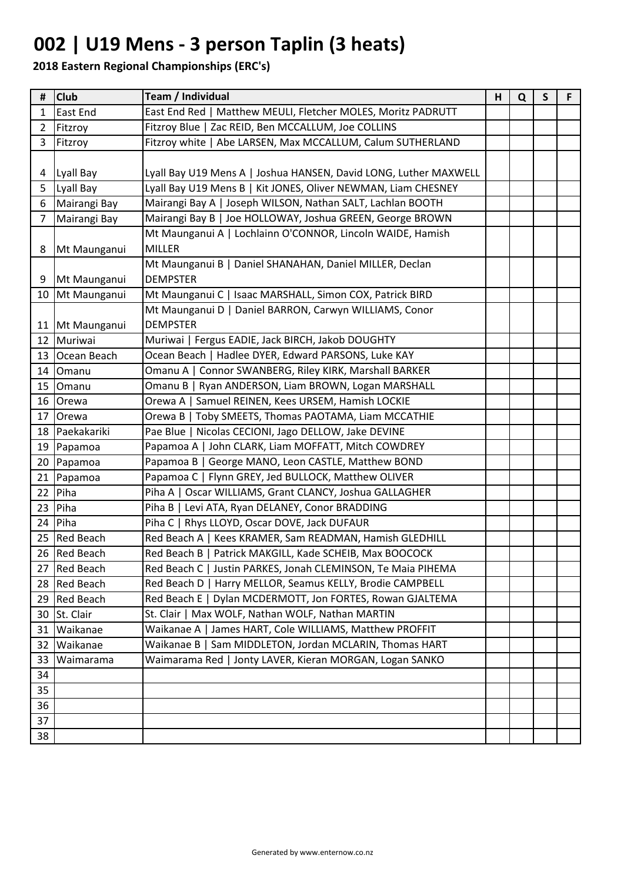## **002 | U19 Mens - 3 person Taplin (3 heats)**

| #              | <b>Club</b>       | Team / Individual                                                | н | Q | $\mathsf{S}$ | F. |
|----------------|-------------------|------------------------------------------------------------------|---|---|--------------|----|
| $\mathbf{1}$   | East End          | East End Red   Matthew MEULI, Fletcher MOLES, Moritz PADRUTT     |   |   |              |    |
| $\overline{2}$ | Fitzroy           | Fitzroy Blue   Zac REID, Ben MCCALLUM, Joe COLLINS               |   |   |              |    |
| 3              | Fitzroy           | Fitzroy white   Abe LARSEN, Max MCCALLUM, Calum SUTHERLAND       |   |   |              |    |
|                |                   |                                                                  |   |   |              |    |
| 4              | Lyall Bay         | Lyall Bay U19 Mens A   Joshua HANSEN, David LONG, Luther MAXWELL |   |   |              |    |
| 5              | Lyall Bay         | Lyall Bay U19 Mens B   Kit JONES, Oliver NEWMAN, Liam CHESNEY    |   |   |              |    |
| 6              | Mairangi Bay      | Mairangi Bay A   Joseph WILSON, Nathan SALT, Lachlan BOOTH       |   |   |              |    |
| 7              | Mairangi Bay      | Mairangi Bay B   Joe HOLLOWAY, Joshua GREEN, George BROWN        |   |   |              |    |
|                |                   | Mt Maunganui A   Lochlainn O'CONNOR, Lincoln WAIDE, Hamish       |   |   |              |    |
| 8              | Mt Maunganui      | <b>MILLER</b>                                                    |   |   |              |    |
|                |                   | Mt Maunganui B   Daniel SHANAHAN, Daniel MILLER, Declan          |   |   |              |    |
| 9              | Mt Maunganui      | <b>DEMPSTER</b>                                                  |   |   |              |    |
|                | 10 Mt Maunganui   | Mt Maunganui C   Isaac MARSHALL, Simon COX, Patrick BIRD         |   |   |              |    |
|                |                   | Mt Maunganui D   Daniel BARRON, Carwyn WILLIAMS, Conor           |   |   |              |    |
|                | 11   Mt Maunganui | <b>DEMPSTER</b>                                                  |   |   |              |    |
|                | 12 Muriwai        | Muriwai   Fergus EADIE, Jack BIRCH, Jakob DOUGHTY                |   |   |              |    |
|                | 13 Ocean Beach    | Ocean Beach   Hadlee DYER, Edward PARSONS, Luke KAY              |   |   |              |    |
|                | 14 Omanu          | Omanu A   Connor SWANBERG, Riley KIRK, Marshall BARKER           |   |   |              |    |
|                | 15 Omanu          | Omanu B   Ryan ANDERSON, Liam BROWN, Logan MARSHALL              |   |   |              |    |
|                | 16 Orewa          | Orewa A   Samuel REINEN, Kees URSEM, Hamish LOCKIE               |   |   |              |    |
| 17             | Orewa             | Orewa B   Toby SMEETS, Thomas PAOTAMA, Liam MCCATHIE             |   |   |              |    |
|                | 18 Paekakariki    | Pae Blue   Nicolas CECIONI, Jago DELLOW, Jake DEVINE             |   |   |              |    |
|                | 19 Papamoa        | Papamoa A   John CLARK, Liam MOFFATT, Mitch COWDREY              |   |   |              |    |
|                | 20 Papamoa        | Papamoa B   George MANO, Leon CASTLE, Matthew BOND               |   |   |              |    |
|                | 21 Papamoa        | Papamoa C   Flynn GREY, Jed BULLOCK, Matthew OLIVER              |   |   |              |    |
| 22             | Piha              | Piha A   Oscar WILLIAMS, Grant CLANCY, Joshua GALLAGHER          |   |   |              |    |
| 23             | Piha              | Piha B   Levi ATA, Ryan DELANEY, Conor BRADDING                  |   |   |              |    |
|                | $24$ Piha         | Piha C   Rhys LLOYD, Oscar DOVE, Jack DUFAUR                     |   |   |              |    |
|                | 25 Red Beach      | Red Beach A   Kees KRAMER, Sam READMAN, Hamish GLEDHILL          |   |   |              |    |
|                | 26 Red Beach      | Red Beach B   Patrick MAKGILL, Kade SCHEIB, Max BOOCOCK          |   |   |              |    |
|                | 27 Red Beach      | Red Beach C   Justin PARKES, Jonah CLEMINSON, Te Maia PIHEMA     |   |   |              |    |
|                | 28 Red Beach      | Red Beach D   Harry MELLOR, Seamus KELLY, Brodie CAMPBELL        |   |   |              |    |
|                | 29 Red Beach      | Red Beach E   Dylan MCDERMOTT, Jon FORTES, Rowan GJALTEMA        |   |   |              |    |
|                | 30 St. Clair      | St. Clair   Max WOLF, Nathan WOLF, Nathan MARTIN                 |   |   |              |    |
|                | 31 Waikanae       | Waikanae A   James HART, Cole WILLIAMS, Matthew PROFFIT          |   |   |              |    |
| 32             | Waikanae          | Waikanae B   Sam MIDDLETON, Jordan MCLARIN, Thomas HART          |   |   |              |    |
| 33             | Waimarama         | Waimarama Red   Jonty LAVER, Kieran MORGAN, Logan SANKO          |   |   |              |    |
| 34             |                   |                                                                  |   |   |              |    |
| 35             |                   |                                                                  |   |   |              |    |
| 36             |                   |                                                                  |   |   |              |    |
| 37             |                   |                                                                  |   |   |              |    |
| 38             |                   |                                                                  |   |   |              |    |